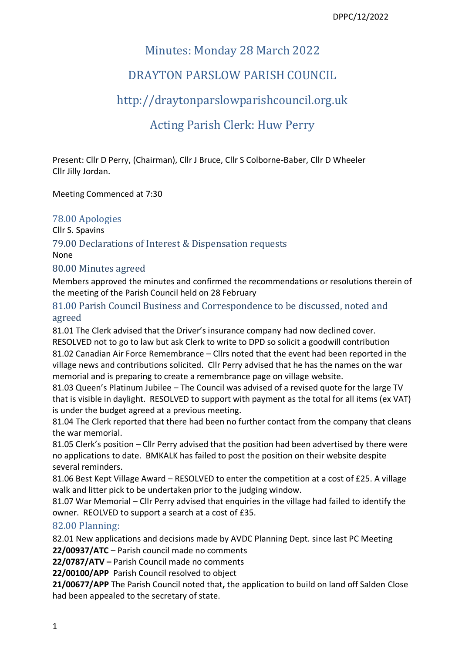# Minutes: Monday 28 March 2022

# DRAYTON PARSLOW PARISH COUNCIL

# [http://draytonparslowparishcouncil.org.uk](http://draytonparslowparishcouncil.org.uk/)

# Acting Parish Clerk: Huw Perry

Present: Cllr D Perry, (Chairman), Cllr J Bruce, Cllr S Colborne-Baber, Cllr D Wheeler Cllr Jilly Jordan.

Meeting Commenced at 7:30

## 78.00 Apologies

Cllr S. Spavins

79.00 Declarations of Interest & Dispensation requests None

# 80.00 Minutes agreed

Members approved the minutes and confirmed the recommendations or resolutions therein of the meeting of the Parish Council held on 28 February

81.00 Parish Council Business and Correspondence to be discussed, noted and agreed

81.01 The Clerk advised that the Driver's insurance company had now declined cover. RESOLVED not to go to law but ask Clerk to write to DPD so solicit a goodwill contribution 81.02 Canadian Air Force Remembrance – Cllrs noted that the event had been reported in the village news and contributions solicited. Cllr Perry advised that he has the names on the war memorial and is preparing to create a remembrance page on village website.

81.03 Queen's Platinum Jubilee – The Council was advised of a revised quote for the large TV that is visible in daylight. RESOLVED to support with payment as the total for all items (ex VAT) is under the budget agreed at a previous meeting.

81.04 The Clerk reported that there had been no further contact from the company that cleans the war memorial.

81.05 Clerk's position – Cllr Perry advised that the position had been advertised by there were no applications to date. BMKALK has failed to post the position on their website despite several reminders.

81.06 Best Kept Village Award – RESOLVED to enter the competition at a cost of £25. A village walk and litter pick to be undertaken prior to the judging window.

81.07 War Memorial – Cllr Perry advised that enquiries in the village had failed to identify the owner. REOLVED to support a search at a cost of £35.

## 82.00 Planning:

82.01 New applications and decisions made by AVDC Planning Dept. since last PC Meeting **22/00937/ATC** – Parish council made no comments

**22/0787/ATV –** Parish Council made no comments

**22/00100/APP** Parish Council resolved to object

**21/00677/APP** The Parish Council noted that**,** the application to build on land off Salden Close had been appealed to the secretary of state.